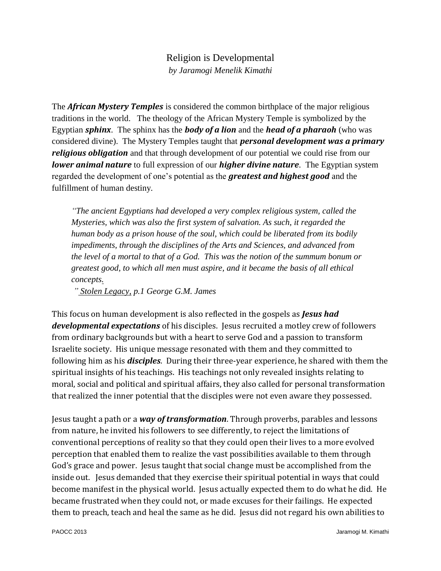## Religion is Developmental *by Jaramogi Menelik Kimathi*

The *African Mystery Temples* is considered the common birthplace of the major religious traditions in the world. The theology of the African Mystery Temple is symbolized by the Egyptian *sphinx*. The sphinx has the *body of a lion* and the *head of a pharaoh* (who was considered divine). The Mystery Temples taught that *personal development was a primary religious obligation* and that through development of our potential we could rise from our *lower animal nature* to full expression of our *higher divine nature*. The Egyptian system regarded the development of one's potential as the *greatest and highest good* and the fulfillment of human destiny.

*"The ancient Egyptians had developed a very complex religious system, called the Mysteries, which was also the first system of salvation. As such, it regarded the human body as a prison house of the soul, which could be liberated from its bodily impediments, through the disciplines of the Arts and Sciences, and advanced from the level of a mortal to that of a God. This was the notion of the summum bonum or greatest good, to which all men must aspire, and it became the basis of all ethical concepts.*

*" Stolen Legacy, p.1 George G.M. James* 

This focus on human development is also reflected in the gospels as *Jesus had developmental expectations* of his disciples. Jesus recruited a motley crew of followers from ordinary backgrounds but with a heart to serve God and a passion to transform Israelite society. His unique message resonated with them and they committed to following him as his *disciples*. During their three-year experience, he shared with them the spiritual insights of his teachings. His teachings not only revealed insights relating to moral, social and political and spiritual affairs, they also called for personal transformation that realized the inner potential that the disciples were not even aware they possessed.

Jesus taught a path or a *way of transformation*. Through proverbs, parables and lessons from nature, he invited his followers to see differently, to reject the limitations of conventional perceptions of reality so that they could open their lives to a more evolved perception that enabled them to realize the vast possibilities available to them through God's grace and power. Jesus taught that social change must be accomplished from the inside out. Jesus demanded that they exercise their spiritual potential in ways that could become manifest in the physical world. Jesus actually expected them to do what he did. He became frustrated when they could not, or made excuses for their failings. He expected them to preach, teach and heal the same as he did. Jesus did not regard his own abilities to